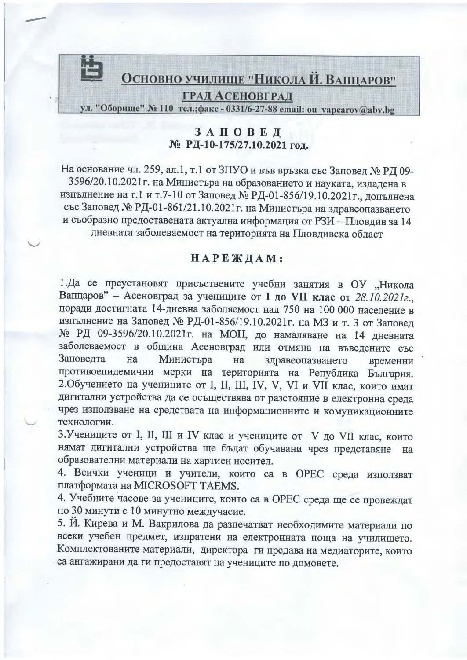

## ЗАПОВЕД № РД-10-175/27.10.2021 год.

На основание чл. 259, ал.1, т.1 от ЗПУО и във връзка със Заповед № РД 09-3596/20.10.2021 г. на Министъра на образованието и науката, издадена в изпълнение на т.1 и т.7-10 от Заповед № РД-01-856/19.10.2021г., допълнена със Заповед № РД-01-861/21.10.2021 г. на Министъра на здравеопазването и съобразно предоставената актуална информация от РЗИ - Пловдив за 14 дневната заболеваемост на територията на Пловдивска област

## НАРЕЖДАМ:

1. Да се преустановят присъствените учебни занятия в ОУ "Никола Вапцаров" - Асеновград за учениците от I до VII клас от 28.10.2021г., поради достигната 14-дневна заболяемост над 750 на 100 000 население в изпълнение на Заповед № РД-01-856/19.10.2021 г. на МЗ и т. 3 от Заповед № РД 09-3596/20.10.2021г. на МОН, до намаляване на 14 дневната заболеваемост в община Асеновград или отмяна на въведените със Заповедта на Министъра на здравеопазването временни противоепидемични мерки на територията на Република България. 2. Обучението на учениците от I, II, III, IV, V, VI и VII клас, които имат дигитални устройства да се осъществява от разстояние в електронна среда чрез използване на средствата на информационните и комуникационните технологии.

3. Учениците от I, II, III и IV клас и учениците от V до VII клас, които нямат дигитални устройства ще бъдат обучавани чрез представяне Ha образователни материали на хартиен носител.

4. Всички ученици и учители, които са в ОРЕС среда използват платформата на MICROSOFT TAEMS.

4. Учебните часове за учениците, които са в ОРЕС среда ще се провеждат по 30 минути с 10 минутно междучасие.

5. Й. Кирева и М. Вакрилова да разпечатват необходимите материали по всеки учебен предмет, изпратени на електронната поща на училището. Комплектованите материали, директора ги предава на медиаторите, които са ангажирани да ги предоставят на учениците по домовете.